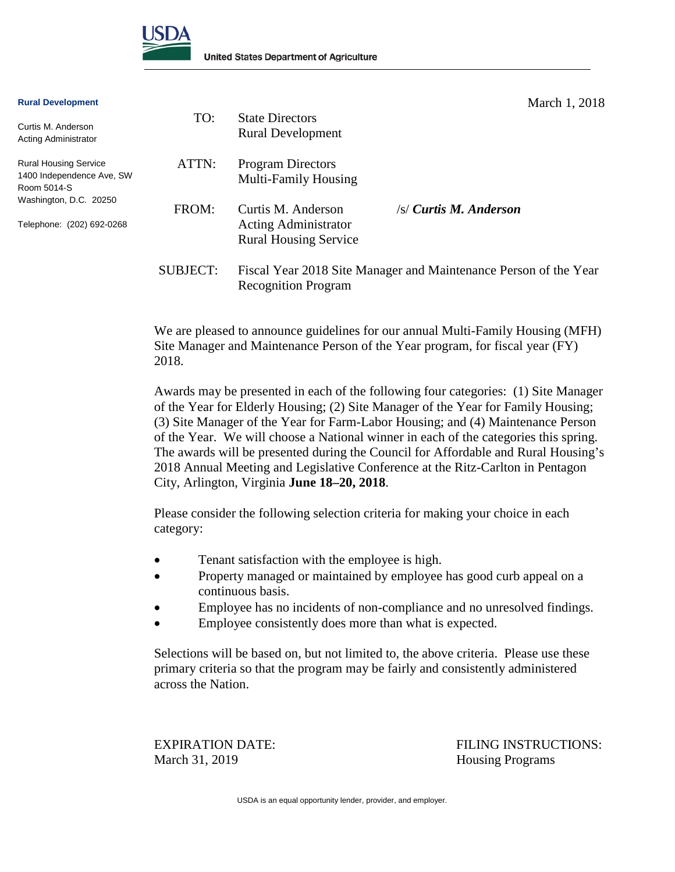

#### **Rural Development**

Curtis M. Anderson Acting Administrator

Room 5014-S

Rural Housing Service 1400 Independence Ave, SW Washington, D.C. 20250 Telephone: (202) 692-0268 TO: State Directors Rural Development ATTN: Program Directors Multi-Family Housing FROM: Curtis M. Anderson /s/ *Curtis M. Anderson* Acting Administrator Rural Housing Service SUBJECT: Fiscal Year 2018 Site Manager and Maintenance Person of the Year Recognition Program

> We are pleased to announce guidelines for our annual Multi-Family Housing (MFH) Site Manager and Maintenance Person of the Year program, for fiscal year (FY) 2018.

> Awards may be presented in each of the following four categories: (1) Site Manager of the Year for Elderly Housing; (2) Site Manager of the Year for Family Housing; (3) Site Manager of the Year for Farm-Labor Housing; and (4) Maintenance Person of the Year. We will choose a National winner in each of the categories this spring. The awards will be presented during the Council for Affordable and Rural Housing's 2018 Annual Meeting and Legislative Conference at the Ritz-Carlton in Pentagon City, Arlington, Virginia **June 18–20, 2018**.

Please consider the following selection criteria for making your choice in each category:

- Tenant satisfaction with the employee is high.
- Property managed or maintained by employee has good curb appeal on a continuous basis.
- Employee has no incidents of non-compliance and no unresolved findings.
- Employee consistently does more than what is expected.

Selections will be based on, but not limited to, the above criteria. Please use these primary criteria so that the program may be fairly and consistently administered across the Nation.

March 31, 2019 Housing Programs

EXPIRATION DATE: FILING INSTRUCTIONS:

USDA is an equal opportunity lender, provider, and employer.

March 1, 2018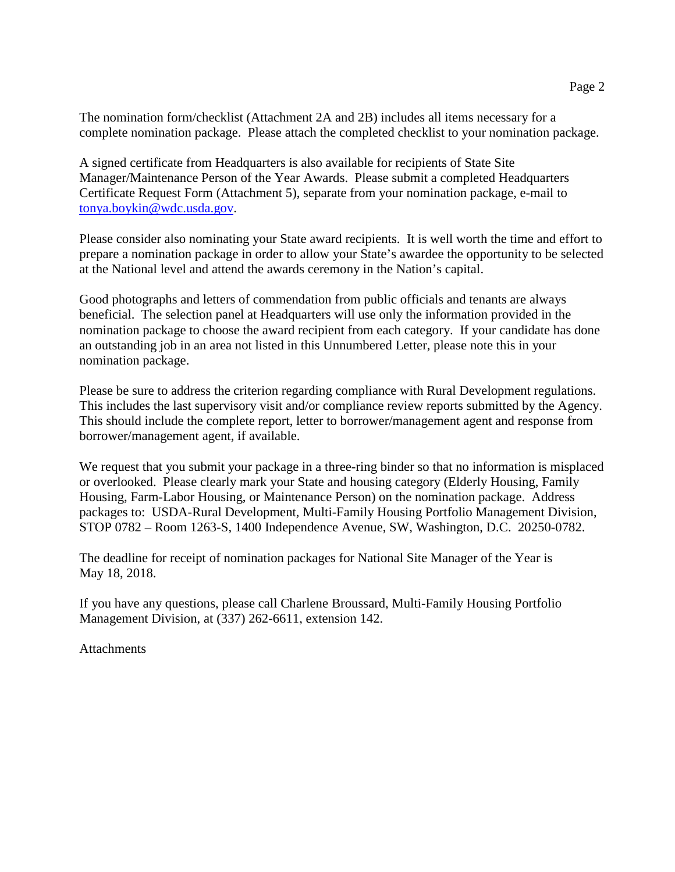The nomination form/checklist (Attachment 2A and 2B) includes all items necessary for a complete nomination package. Please attach the completed checklist to your nomination package.

A signed certificate from Headquarters is also available for recipients of State Site Manager/Maintenance Person of the Year Awards. Please submit a completed Headquarters Certificate Request Form (Attachment 5), separate from your nomination package, e-mail to tonya.boykin@wdc.usda.gov.

Please consider also nominating your State award recipients. It is well worth the time and effort to prepare a nomination package in order to allow your State's awardee the opportunity to be selected at the National level and attend the awards ceremony in the Nation's capital.

Good photographs and letters of commendation from public officials and tenants are always beneficial. The selection panel at Headquarters will use only the information provided in the nomination package to choose the award recipient from each category. If your candidate has done an outstanding job in an area not listed in this Unnumbered Letter, please note this in your nomination package.

Please be sure to address the criterion regarding compliance with Rural Development regulations. This includes the last supervisory visit and/or compliance review reports submitted by the Agency. This should include the complete report, letter to borrower/management agent and response from borrower/management agent, if available.

We request that you submit your package in a three-ring binder so that no information is misplaced or overlooked. Please clearly mark your State and housing category (Elderly Housing, Family Housing, Farm-Labor Housing, or Maintenance Person) on the nomination package. Address packages to: USDA-Rural Development, Multi-Family Housing Portfolio Management Division, STOP 0782 – Room 1263-S, 1400 Independence Avenue, SW, Washington, D.C. 20250-0782.

The deadline for receipt of nomination packages for National Site Manager of the Year is May 18, 2018.

If you have any questions, please call Charlene Broussard, Multi-Family Housing Portfolio Management Division, at (337) 262-6611, extension 142.

**Attachments**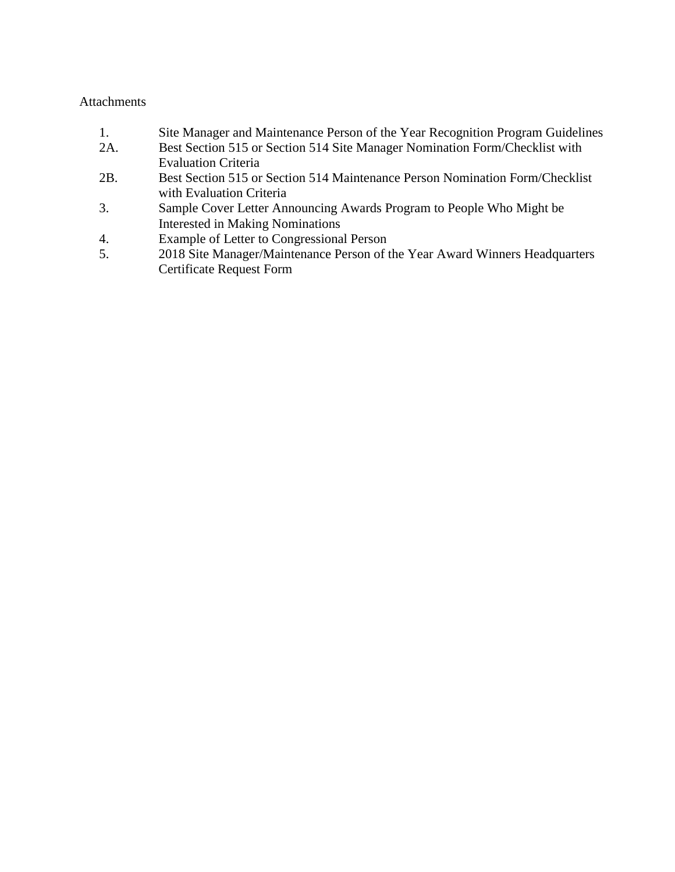#### **Attachments**

- 1. Site Manager and Maintenance Person of the Year Recognition Program Guidelines
- 2A. Best Section 515 or Section 514 Site Manager Nomination Form/Checklist with Evaluation Criteria
- 2B. Best Section 515 or Section 514 Maintenance Person Nomination Form/Checklist with Evaluation Criteria
- 3. Sample Cover Letter Announcing Awards Program to People Who Might be Interested in Making Nominations
- 4. Example of Letter to Congressional Person
- 5. 2018 Site Manager/Maintenance Person of the Year Award Winners Headquarters Certificate Request Form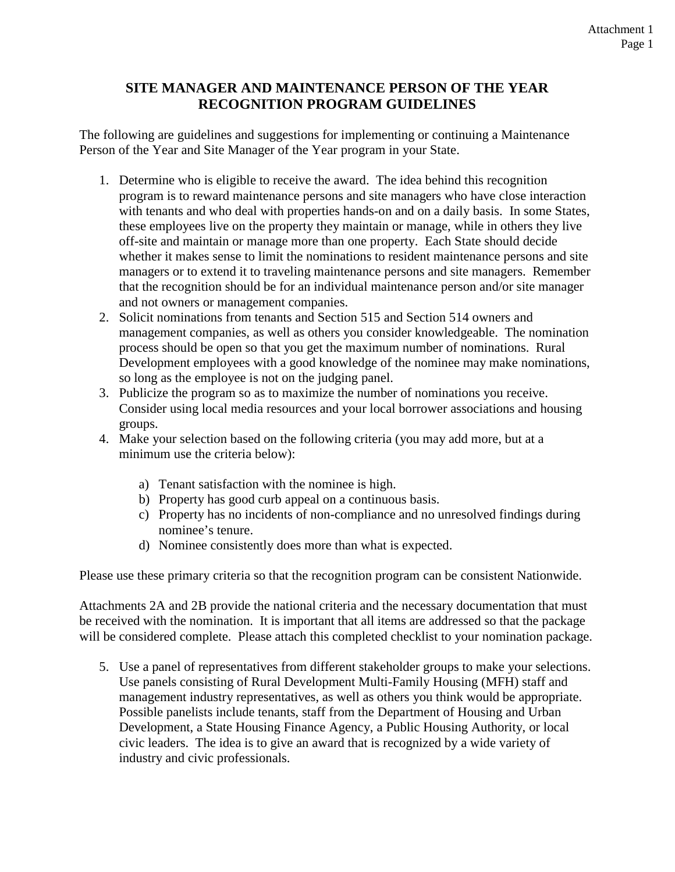## **SITE MANAGER AND MAINTENANCE PERSON OF THE YEAR RECOGNITION PROGRAM GUIDELINES**

The following are guidelines and suggestions for implementing or continuing a Maintenance Person of the Year and Site Manager of the Year program in your State.

- 1. Determine who is eligible to receive the award. The idea behind this recognition program is to reward maintenance persons and site managers who have close interaction with tenants and who deal with properties hands-on and on a daily basis. In some States, these employees live on the property they maintain or manage, while in others they live off-site and maintain or manage more than one property. Each State should decide whether it makes sense to limit the nominations to resident maintenance persons and site managers or to extend it to traveling maintenance persons and site managers. Remember that the recognition should be for an individual maintenance person and/or site manager and not owners or management companies.
- 2. Solicit nominations from tenants and Section 515 and Section 514 owners and management companies, as well as others you consider knowledgeable. The nomination process should be open so that you get the maximum number of nominations. Rural Development employees with a good knowledge of the nominee may make nominations, so long as the employee is not on the judging panel.
- 3. Publicize the program so as to maximize the number of nominations you receive. Consider using local media resources and your local borrower associations and housing groups.
- 4. Make your selection based on the following criteria (you may add more, but at a minimum use the criteria below):
	- a) Tenant satisfaction with the nominee is high.
	- b) Property has good curb appeal on a continuous basis.
	- c) Property has no incidents of non-compliance and no unresolved findings during nominee's tenure.
	- d) Nominee consistently does more than what is expected.

Please use these primary criteria so that the recognition program can be consistent Nationwide.

Attachments 2A and 2B provide the national criteria and the necessary documentation that must be received with the nomination. It is important that all items are addressed so that the package will be considered complete. Please attach this completed checklist to your nomination package.

5. Use a panel of representatives from different stakeholder groups to make your selections. Use panels consisting of Rural Development Multi-Family Housing (MFH) staff and management industry representatives, as well as others you think would be appropriate. Possible panelists include tenants, staff from the Department of Housing and Urban Development, a State Housing Finance Agency, a Public Housing Authority, or local civic leaders. The idea is to give an award that is recognized by a wide variety of industry and civic professionals.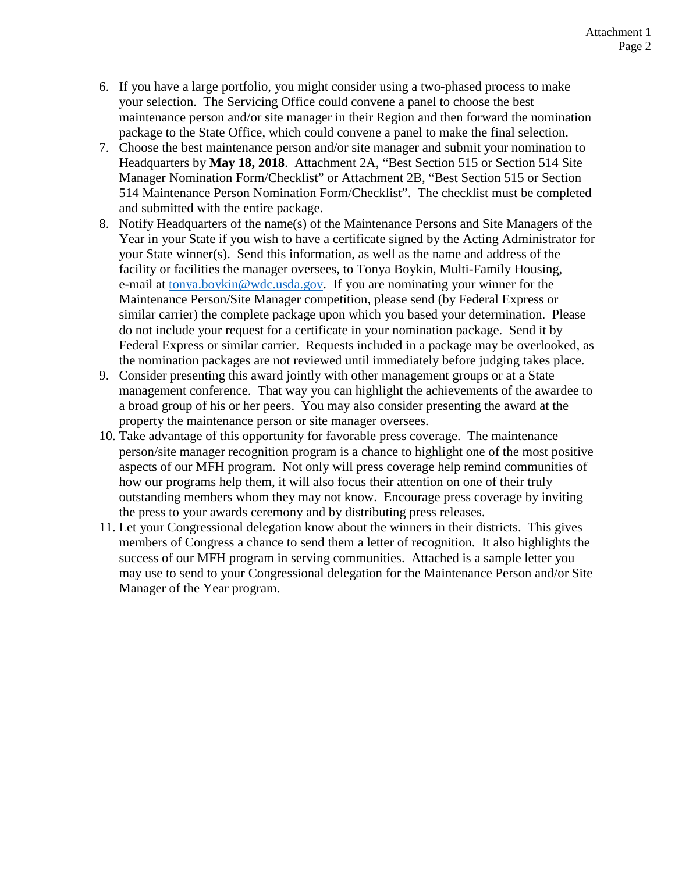- 6. If you have a large portfolio, you might consider using a two-phased process to make your selection. The Servicing Office could convene a panel to choose the best maintenance person and/or site manager in their Region and then forward the nomination package to the State Office, which could convene a panel to make the final selection.
- 7. Choose the best maintenance person and/or site manager and submit your nomination to Headquarters by **May 18, 2018**. Attachment 2A, "Best Section 515 or Section 514 Site Manager Nomination Form/Checklist" or Attachment 2B, "Best Section 515 or Section 514 Maintenance Person Nomination Form/Checklist". The checklist must be completed and submitted with the entire package.
- 8. Notify Headquarters of the name(s) of the Maintenance Persons and Site Managers of the Year in your State if you wish to have a certificate signed by the Acting Administrator for your State winner(s). Send this information, as well as the name and address of the facility or facilities the manager oversees, to Tonya Boykin, Multi-Family Housing, e-mail at tonya.boykin@wdc.usda.gov. If you are nominating your winner for the Maintenance Person/Site Manager competition, please send (by Federal Express or similar carrier) the complete package upon which you based your determination. Please do not include your request for a certificate in your nomination package. Send it by Federal Express or similar carrier. Requests included in a package may be overlooked, as the nomination packages are not reviewed until immediately before judging takes place.
- 9. Consider presenting this award jointly with other management groups or at a State management conference. That way you can highlight the achievements of the awardee to a broad group of his or her peers. You may also consider presenting the award at the property the maintenance person or site manager oversees.
- 10. Take advantage of this opportunity for favorable press coverage. The maintenance person/site manager recognition program is a chance to highlight one of the most positive aspects of our MFH program. Not only will press coverage help remind communities of how our programs help them, it will also focus their attention on one of their truly outstanding members whom they may not know. Encourage press coverage by inviting the press to your awards ceremony and by distributing press releases.
- 11. Let your Congressional delegation know about the winners in their districts. This gives members of Congress a chance to send them a letter of recognition. It also highlights the success of our MFH program in serving communities. Attached is a sample letter you may use to send to your Congressional delegation for the Maintenance Person and/or Site Manager of the Year program.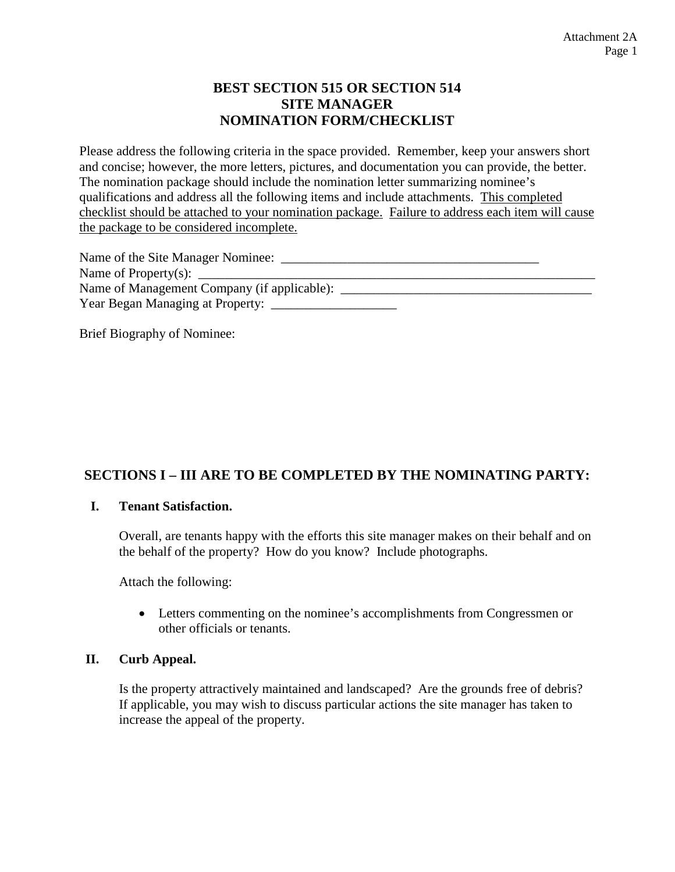## **BEST SECTION 515 OR SECTION 514 SITE MANAGER NOMINATION FORM/CHECKLIST**

Please address the following criteria in the space provided. Remember, keep your answers short and concise; however, the more letters, pictures, and documentation you can provide, the better. The nomination package should include the nomination letter summarizing nominee's qualifications and address all the following items and include attachments. This completed checklist should be attached to your nomination package. Failure to address each item will cause the package to be considered incomplete.

| Name of the Site Manager Nominee:                 |  |
|---------------------------------------------------|--|
| Name of Property(s): $\_\_$                       |  |
| Name of Management Company (if applicable): _____ |  |
|                                                   |  |

Brief Biography of Nominee:

## **SECTIONS I – III ARE TO BE COMPLETED BY THE NOMINATING PARTY:**

#### **I. Tenant Satisfaction.**

Overall, are tenants happy with the efforts this site manager makes on their behalf and on the behalf of the property? How do you know? Include photographs.

Attach the following:

 Letters commenting on the nominee's accomplishments from Congressmen or other officials or tenants.

#### **II. Curb Appeal.**

Is the property attractively maintained and landscaped? Are the grounds free of debris? If applicable, you may wish to discuss particular actions the site manager has taken to increase the appeal of the property.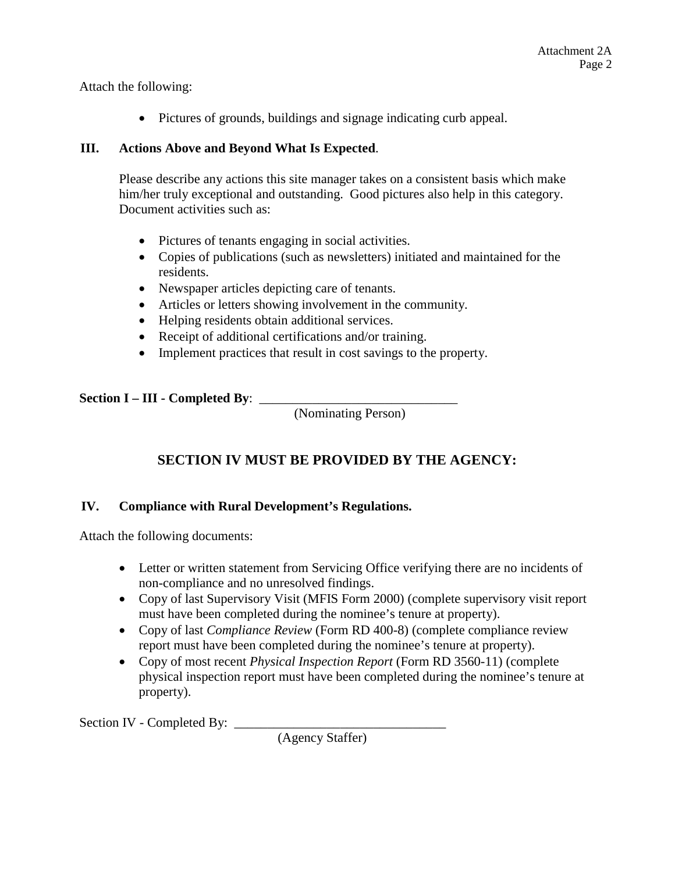Attach the following:

Pictures of grounds, buildings and signage indicating curb appeal.

### **III. Actions Above and Beyond What Is Expected**.

Please describe any actions this site manager takes on a consistent basis which make him/her truly exceptional and outstanding. Good pictures also help in this category. Document activities such as:

- Pictures of tenants engaging in social activities.
- Copies of publications (such as newsletters) initiated and maintained for the residents.
- Newspaper articles depicting care of tenants.
- Articles or letters showing involvement in the community.
- Helping residents obtain additional services.
- Receipt of additional certifications and/or training.
- Implement practices that result in cost savings to the property.

**Section I – III - Completed By**: \_\_\_\_\_\_\_\_\_\_\_\_\_\_\_\_\_\_\_\_\_\_\_\_\_\_\_\_\_\_

(Nominating Person)

# **SECTION IV MUST BE PROVIDED BY THE AGENCY:**

## **IV. Compliance with Rural Development's Regulations.**

Attach the following documents:

- Letter or written statement from Servicing Office verifying there are no incidents of non-compliance and no unresolved findings.
- Copy of last Supervisory Visit (MFIS Form 2000) (complete supervisory visit report must have been completed during the nominee's tenure at property).
- Copy of last *Compliance Review* (Form RD 400-8) (complete compliance review report must have been completed during the nominee's tenure at property).
- Copy of most recent *Physical Inspection Report* (Form RD 3560-11) (complete physical inspection report must have been completed during the nominee's tenure at property).

Section IV - Completed By: \_\_\_\_\_\_\_\_\_\_\_\_\_\_\_\_\_\_\_\_\_\_\_\_\_\_\_\_\_\_\_\_

(Agency Staffer)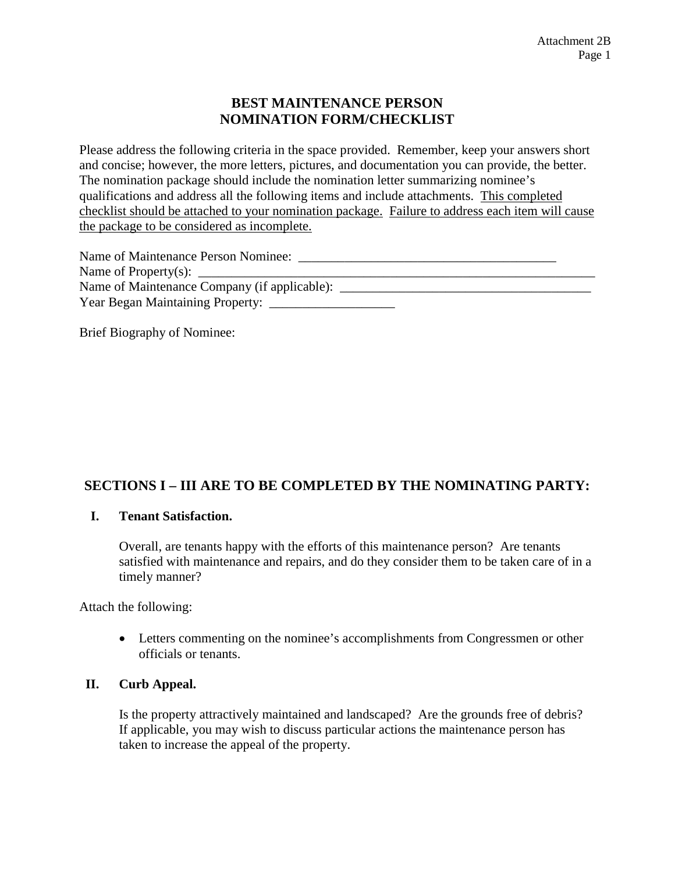### **BEST MAINTENANCE PERSON NOMINATION FORM/CHECKLIST**

Please address the following criteria in the space provided. Remember, keep your answers short and concise; however, the more letters, pictures, and documentation you can provide, the better. The nomination package should include the nomination letter summarizing nominee's qualifications and address all the following items and include attachments. This completed checklist should be attached to your nomination package. Failure to address each item will cause the package to be considered as incomplete.

| Name of Maintenance Person Nominee:                                     |  |
|-------------------------------------------------------------------------|--|
| Name of Property(s): $\_\_\_\_\_\_\_\_\_\_\_\_\_\_\_\_\_\_\_\_\_\_\_\_$ |  |
| Name of Maintenance Company (if applicable): ___                        |  |
|                                                                         |  |

Brief Biography of Nominee:

# **SECTIONS I – III ARE TO BE COMPLETED BY THE NOMINATING PARTY:**

#### **I. Tenant Satisfaction.**

Overall, are tenants happy with the efforts of this maintenance person? Are tenants satisfied with maintenance and repairs, and do they consider them to be taken care of in a timely manner?

Attach the following:

 Letters commenting on the nominee's accomplishments from Congressmen or other officials or tenants.

### **II. Curb Appeal.**

Is the property attractively maintained and landscaped? Are the grounds free of debris? If applicable, you may wish to discuss particular actions the maintenance person has taken to increase the appeal of the property.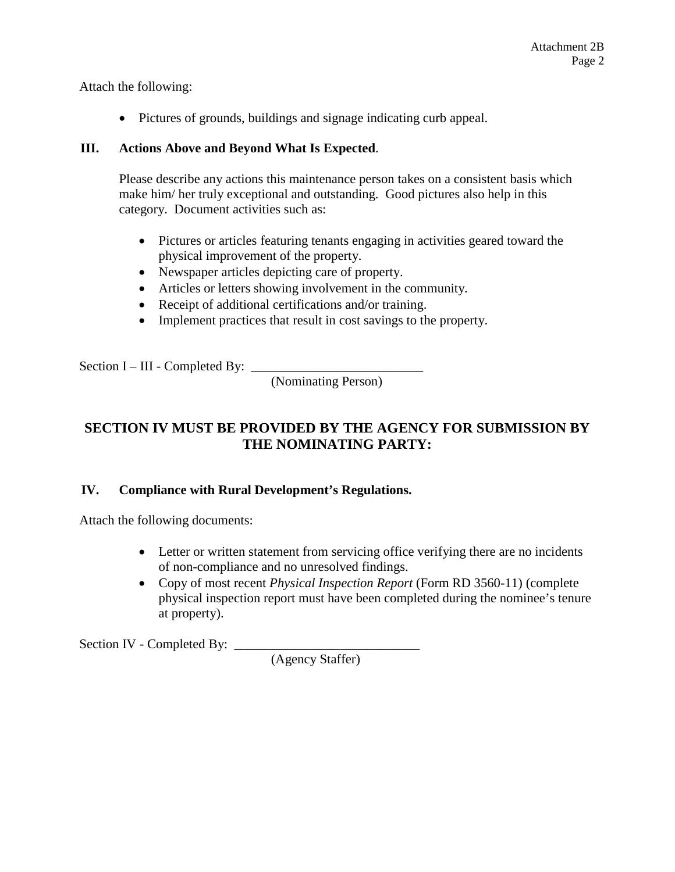Attach the following:

Pictures of grounds, buildings and signage indicating curb appeal.

### **III. Actions Above and Beyond What Is Expected**.

Please describe any actions this maintenance person takes on a consistent basis which make him/ her truly exceptional and outstanding. Good pictures also help in this category. Document activities such as:

- Pictures or articles featuring tenants engaging in activities geared toward the physical improvement of the property.
- Newspaper articles depicting care of property.
- Articles or letters showing involvement in the community.
- Receipt of additional certifications and/or training.
- Implement practices that result in cost savings to the property.

Section I – III - Completed By:

(Nominating Person)

# **SECTION IV MUST BE PROVIDED BY THE AGENCY FOR SUBMISSION BY THE NOMINATING PARTY:**

## **IV. Compliance with Rural Development's Regulations.**

Attach the following documents:

- Letter or written statement from servicing office verifying there are no incidents of non-compliance and no unresolved findings.
- Copy of most recent *Physical Inspection Report* (Form RD 3560-11) (complete physical inspection report must have been completed during the nominee's tenure at property).

Section IV - Completed By: \_\_\_\_\_\_\_\_\_\_\_\_\_\_\_\_\_\_\_\_\_\_\_\_\_\_\_\_

(Agency Staffer)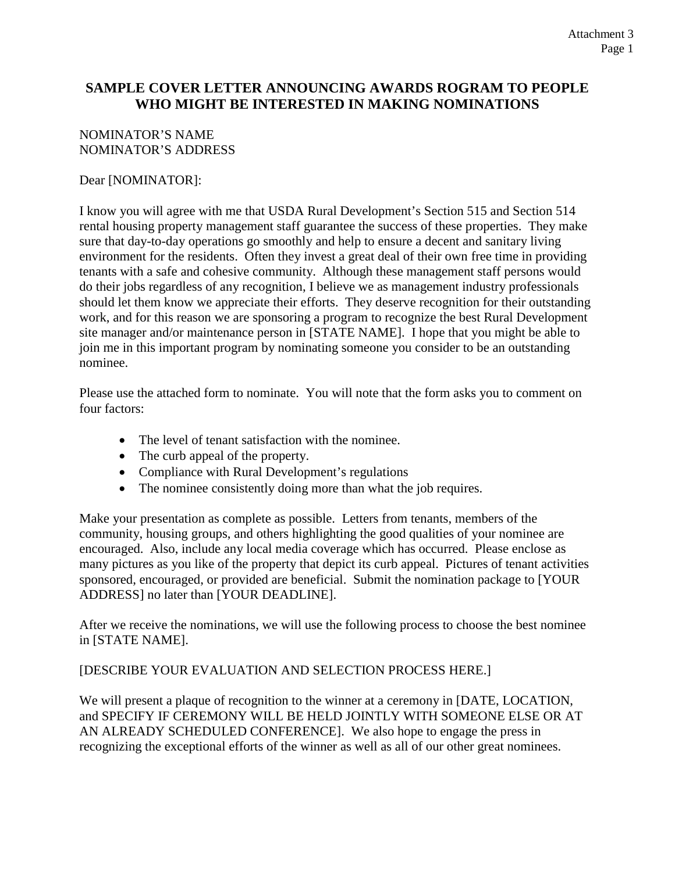### **SAMPLE COVER LETTER ANNOUNCING AWARDS ROGRAM TO PEOPLE WHO MIGHT BE INTERESTED IN MAKING NOMINATIONS**

### NOMINATOR'S NAME NOMINATOR'S ADDRESS

### Dear [NOMINATOR]:

I know you will agree with me that USDA Rural Development's Section 515 and Section 514 rental housing property management staff guarantee the success of these properties. They make sure that day-to-day operations go smoothly and help to ensure a decent and sanitary living environment for the residents. Often they invest a great deal of their own free time in providing tenants with a safe and cohesive community. Although these management staff persons would do their jobs regardless of any recognition, I believe we as management industry professionals should let them know we appreciate their efforts. They deserve recognition for their outstanding work, and for this reason we are sponsoring a program to recognize the best Rural Development site manager and/or maintenance person in [STATE NAME]. I hope that you might be able to join me in this important program by nominating someone you consider to be an outstanding nominee.

Please use the attached form to nominate. You will note that the form asks you to comment on four factors:

- The level of tenant satisfaction with the nominee.
- The curb appeal of the property.
- Compliance with Rural Development's regulations
- The nominee consistently doing more than what the job requires.

Make your presentation as complete as possible. Letters from tenants, members of the community, housing groups, and others highlighting the good qualities of your nominee are encouraged. Also, include any local media coverage which has occurred. Please enclose as many pictures as you like of the property that depict its curb appeal. Pictures of tenant activities sponsored, encouraged, or provided are beneficial. Submit the nomination package to [YOUR ADDRESS] no later than [YOUR DEADLINE].

After we receive the nominations, we will use the following process to choose the best nominee in [STATE NAME].

#### [DESCRIBE YOUR EVALUATION AND SELECTION PROCESS HERE.]

We will present a plaque of recognition to the winner at a ceremony in [DATE, LOCATION, and SPECIFY IF CEREMONY WILL BE HELD JOINTLY WITH SOMEONE ELSE OR AT AN ALREADY SCHEDULED CONFERENCE]. We also hope to engage the press in recognizing the exceptional efforts of the winner as well as all of our other great nominees.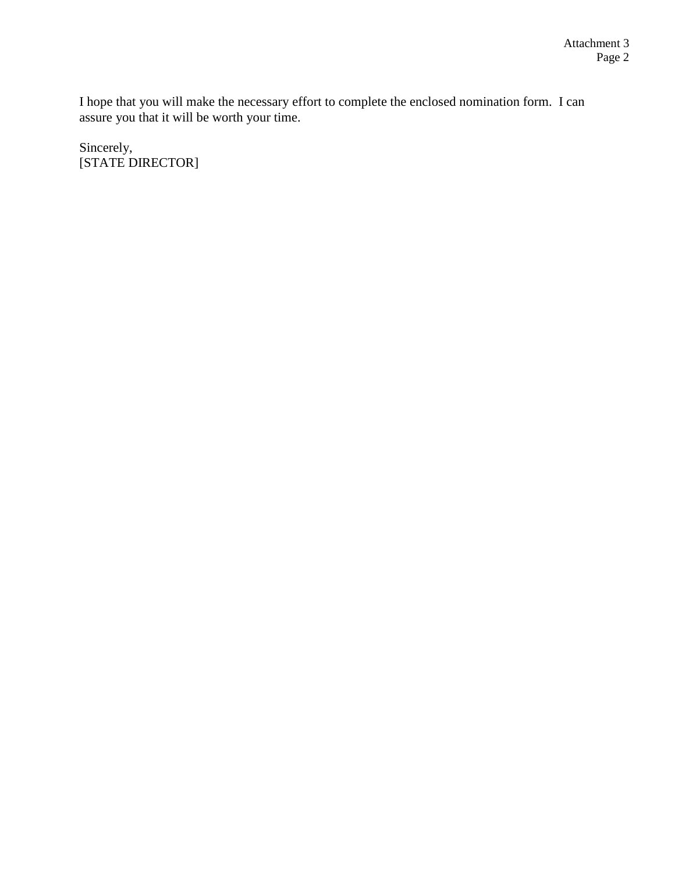I hope that you will make the necessary effort to complete the enclosed nomination form. I can assure you that it will be worth your time.

Sincerely, [STATE DIRECTOR]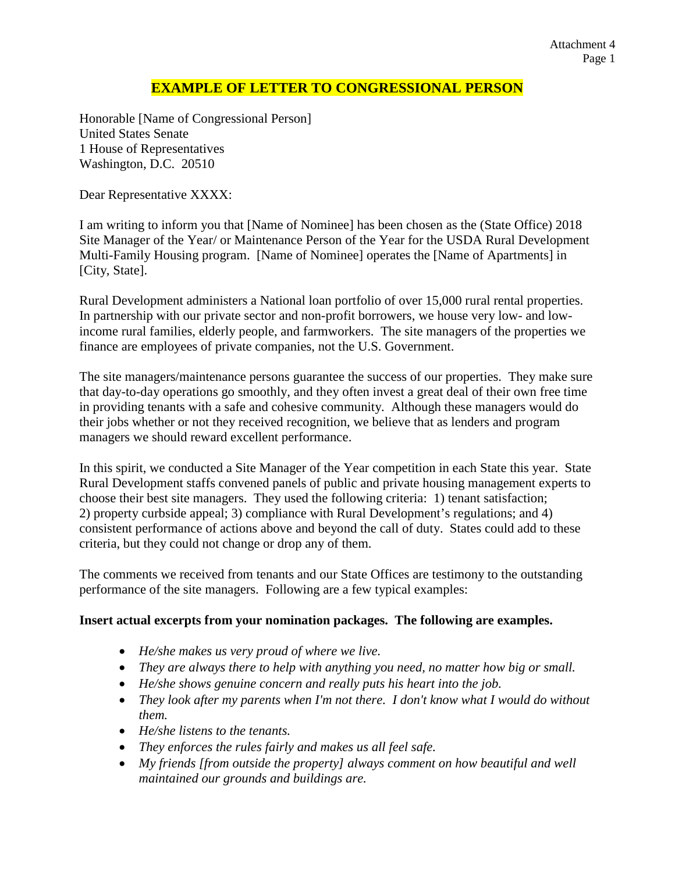#### Attachment 4 Page 1

### **EXAMPLE OF LETTER TO CONGRESSIONAL PERSON**

Honorable [Name of Congressional Person] United States Senate 1 House of Representatives Washington, D.C. 20510

Dear Representative XXXX:

I am writing to inform you that [Name of Nominee] has been chosen as the (State Office) 2018 Site Manager of the Year/ or Maintenance Person of the Year for the USDA Rural Development Multi-Family Housing program. [Name of Nominee] operates the [Name of Apartments] in [City, State].

Rural Development administers a National loan portfolio of over 15,000 rural rental properties. In partnership with our private sector and non-profit borrowers, we house very low- and lowincome rural families, elderly people, and farmworkers. The site managers of the properties we finance are employees of private companies, not the U.S. Government.

The site managers/maintenance persons guarantee the success of our properties. They make sure that day-to-day operations go smoothly, and they often invest a great deal of their own free time in providing tenants with a safe and cohesive community. Although these managers would do their jobs whether or not they received recognition, we believe that as lenders and program managers we should reward excellent performance.

In this spirit, we conducted a Site Manager of the Year competition in each State this year. State Rural Development staffs convened panels of public and private housing management experts to choose their best site managers. They used the following criteria: 1) tenant satisfaction; 2) property curbside appeal; 3) compliance with Rural Development's regulations; and 4) consistent performance of actions above and beyond the call of duty. States could add to these criteria, but they could not change or drop any of them.

The comments we received from tenants and our State Offices are testimony to the outstanding performance of the site managers. Following are a few typical examples:

#### **Insert actual excerpts from your nomination packages. The following are examples.**

- *He/she makes us very proud of where we live.*
- *They are always there to help with anything you need, no matter how big or small.*
- *He/she shows genuine concern and really puts his heart into the job.*
- *They look after my parents when I'm not there. I don't know what I would do without them.*
- *He/she listens to the tenants.*
- *They enforces the rules fairly and makes us all feel safe.*
- *My friends [from outside the property] always comment on how beautiful and well maintained our grounds and buildings are.*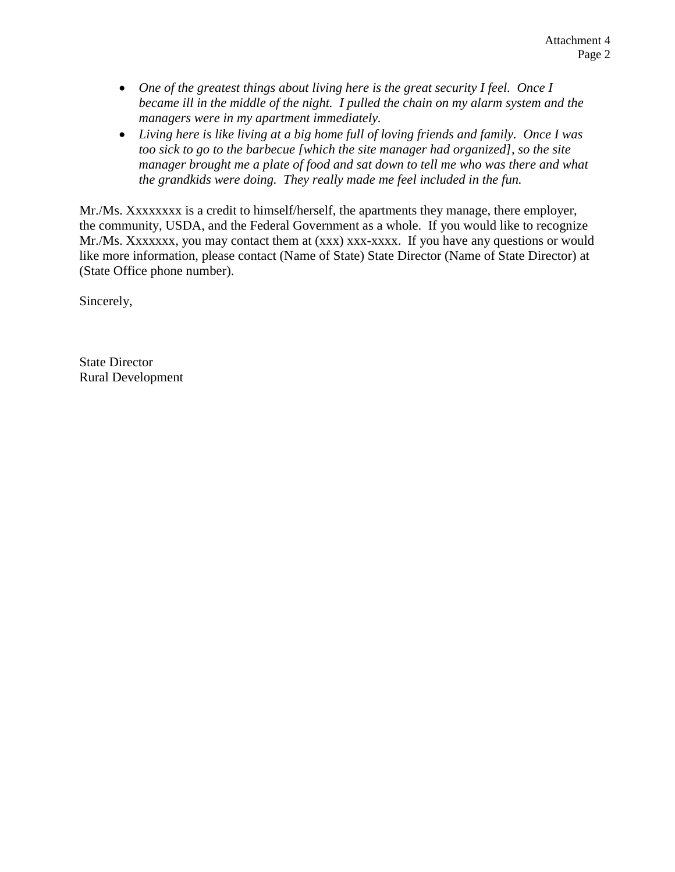- *One of the greatest things about living here is the great security I feel. Once I became ill in the middle of the night. I pulled the chain on my alarm system and the managers were in my apartment immediately.*
- *Living here is like living at a big home full of loving friends and family. Once I was too sick to go to the barbecue [which the site manager had organized], so the site manager brought me a plate of food and sat down to tell me who was there and what the grandkids were doing. They really made me feel included in the fun.*

Mr./Ms. Xxxxxxxx is a credit to himself/herself, the apartments they manage, there employer, the community, USDA, and the Federal Government as a whole. If you would like to recognize Mr./Ms. Xxxxxxx, you may contact them at (xxx) xxx-xxxx. If you have any questions or would like more information, please contact (Name of State) State Director (Name of State Director) at (State Office phone number).

Sincerely,

State Director Rural Development